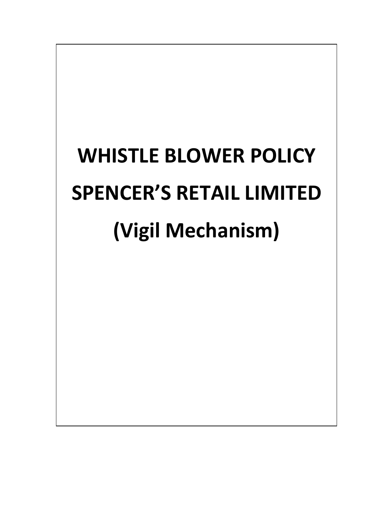# **WHISTLE BLOWER POLICY SPENCER'S RETAIL LIMITED (Vigil Mechanism)**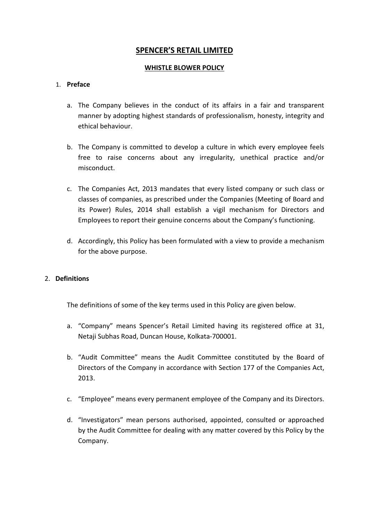## **SPENCER'S RETAIL LIMITED**

### **WHISTLE BLOWER POLICY**

## 1. **Preface**

- a. The Company believes in the conduct of its affairs in a fair and transparent manner by adopting highest standards of professionalism, honesty, integrity and ethical behaviour.
- b. The Company is committed to develop a culture in which every employee feels free to raise concerns about any irregularity, unethical practice and/or misconduct.
- c. The Companies Act, 2013 mandates that every listed company or such class or classes of companies, as prescribed under the Companies (Meeting of Board and its Power) Rules, 2014 shall establish a vigil mechanism for Directors and Employees to report their genuine concerns about the Company's functioning.
- d. Accordingly, this Policy has been formulated with a view to provide a mechanism for the above purpose.

## 2. **Definitions**

The definitions of some of the key terms used in this Policy are given below.

- a. "Company" means Spencer's Retail Limited having its registered office at 31, Netaji Subhas Road, Duncan House, Kolkata-700001.
- b. "Audit Committee" means the Audit Committee constituted by the Board of Directors of the Company in accordance with Section 177 of the Companies Act, 2013.
- c. "Employee" means every permanent employee of the Company and its Directors.
- d. "Investigators" mean persons authorised, appointed, consulted or approached by the Audit Committee for dealing with any matter covered by this Policy by the Company.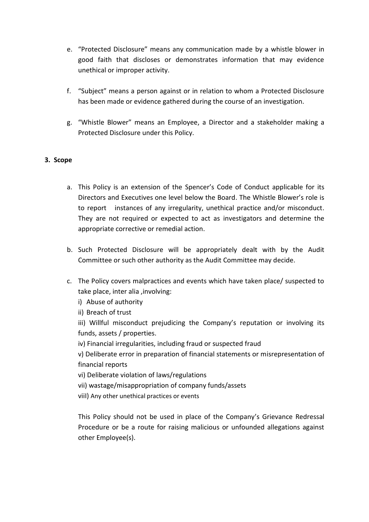- e. "Protected Disclosure" means any communication made by a whistle blower in good faith that discloses or demonstrates information that may evidence unethical or improper activity.
- f. "Subject" means a person against or in relation to whom a Protected Disclosure has been made or evidence gathered during the course of an investigation.
- g. "Whistle Blower" means an Employee, a Director and a stakeholder making a Protected Disclosure under this Policy.

## **3. Scope**

- a. This Policy is an extension of the Spencer's Code of Conduct applicable for its Directors and Executives one level below the Board. The Whistle Blower's role is to report instances of any irregularity, unethical practice and/or misconduct. They are not required or expected to act as investigators and determine the appropriate corrective or remedial action.
- b. Such Protected Disclosure will be appropriately dealt with by the Audit Committee or such other authority as the Audit Committee may decide.
- c. The Policy covers malpractices and events which have taken place/ suspected to take place, inter alia ,involving:
	- i) Abuse of authority
	- ii) Breach of trust

iii) Willful misconduct prejudicing the Company's reputation or involving its funds, assets / properties.

iv) Financial irregularities, including fraud or suspected fraud

v) Deliberate error in preparation of financial statements or misrepresentation of financial reports

- vi) Deliberate violation of laws/regulations
- vii) wastage/misappropriation of company funds/assets
- viiI) Any other unethical practices or events

This Policy should not be used in place of the Company's Grievance Redressal Procedure or be a route for raising malicious or unfounded allegations against other Employee(s).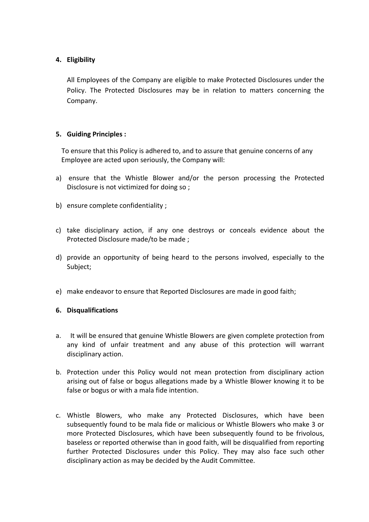## **4. Eligibility**

All Employees of the Company are eligible to make Protected Disclosures under the Policy. The Protected Disclosures may be in relation to matters concerning the Company.

### **5. Guiding Principles :**

 To ensure that this Policy is adhered to, and to assure that genuine concerns of any Employee are acted upon seriously, the Company will:

- a) ensure that the Whistle Blower and/or the person processing the Protected Disclosure is not victimized for doing so ;
- b) ensure complete confidentiality ;
- c) take disciplinary action, if any one destroys or conceals evidence about the Protected Disclosure made/to be made ;
- d) provide an opportunity of being heard to the persons involved, especially to the Subject;
- e) make endeavor to ensure that Reported Disclosures are made in good faith;

#### **6. Disqualifications**

- a. It will be ensured that genuine Whistle Blowers are given complete protection from any kind of unfair treatment and any abuse of this protection will warrant disciplinary action.
- b. Protection under this Policy would not mean protection from disciplinary action arising out of false or bogus allegations made by a Whistle Blower knowing it to be false or bogus or with a mala fide intention.
- c. Whistle Blowers, who make any Protected Disclosures, which have been subsequently found to be mala fide or malicious or Whistle Blowers who make 3 or more Protected Disclosures, which have been subsequently found to be frivolous, baseless or reported otherwise than in good faith, will be disqualified from reporting further Protected Disclosures under this Policy. They may also face such other disciplinary action as may be decided by the Audit Committee.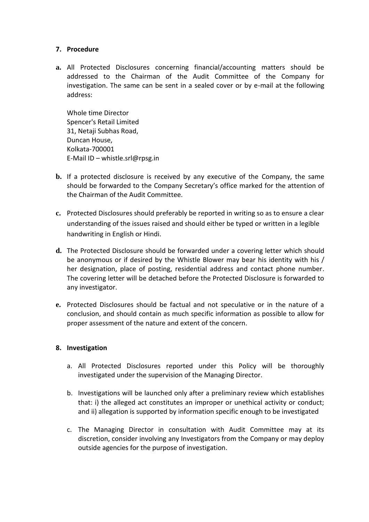### **7. Procedure**

**a.** All Protected Disclosures concerning financial/accounting matters should be addressed to the Chairman of the Audit Committee of the Company for investigation. The same can be sent in a sealed cover or by e-mail at the following address:

Whole time Director Spencer's Retail Limited 31, Netaji Subhas Road, Duncan House, Kolkata-700001 E-Mail ID – whistle.srl@rpsg.in

- **b.** If a protected disclosure is received by any executive of the Company, the same should be forwarded to the Company Secretary's office marked for the attention of the Chairman of the Audit Committee.
- **c.** Protected Disclosures should preferably be reported in writing so as to ensure a clear understanding of the issues raised and should either be typed or written in a legible handwriting in English or Hindi.
- **d.** The Protected Disclosure should be forwarded under a covering letter which should be anonymous or if desired by the Whistle Blower may bear his identity with his / her designation, place of posting, residential address and contact phone number. The covering letter will be detached before the Protected Disclosure is forwarded to any investigator.
- **e.** Protected Disclosures should be factual and not speculative or in the nature of a conclusion, and should contain as much specific information as possible to allow for proper assessment of the nature and extent of the concern.

#### **8. Investigation**

- a. All Protected Disclosures reported under this Policy will be thoroughly investigated under the supervision of the Managing Director.
- b. Investigations will be launched only after a preliminary review which establishes that: i) the alleged act constitutes an improper or unethical activity or conduct; and ii) allegation is supported by information specific enough to be investigated
- c. The Managing Director in consultation with Audit Committee may at its discretion, consider involving any Investigators from the Company or may deploy outside agencies for the purpose of investigation.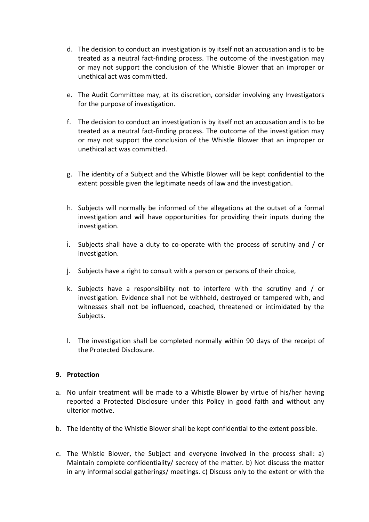- d. The decision to conduct an investigation is by itself not an accusation and is to be treated as a neutral fact-finding process. The outcome of the investigation may or may not support the conclusion of the Whistle Blower that an improper or unethical act was committed.
- e. The Audit Committee may, at its discretion, consider involving any Investigators for the purpose of investigation.
- f. The decision to conduct an investigation is by itself not an accusation and is to be treated as a neutral fact-finding process. The outcome of the investigation may or may not support the conclusion of the Whistle Blower that an improper or unethical act was committed.
- g. The identity of a Subject and the Whistle Blower will be kept confidential to the extent possible given the legitimate needs of law and the investigation.
- h. Subjects will normally be informed of the allegations at the outset of a formal investigation and will have opportunities for providing their inputs during the investigation.
- i. Subjects shall have a duty to co-operate with the process of scrutiny and / or investigation.
- j. Subjects have a right to consult with a person or persons of their choice,
- k. Subjects have a responsibility not to interfere with the scrutiny and / or investigation. Evidence shall not be withheld, destroyed or tampered with, and witnesses shall not be influenced, coached, threatened or intimidated by the Subjects.
- l. The investigation shall be completed normally within 90 days of the receipt of the Protected Disclosure.

## **9. Protection**

- a. No unfair treatment will be made to a Whistle Blower by virtue of his/her having reported a Protected Disclosure under this Policy in good faith and without any ulterior motive.
- b. The identity of the Whistle Blower shall be kept confidential to the extent possible.
- c. The Whistle Blower, the Subject and everyone involved in the process shall: a) Maintain complete confidentiality/ secrecy of the matter. b) Not discuss the matter in any informal social gatherings/ meetings. c) Discuss only to the extent or with the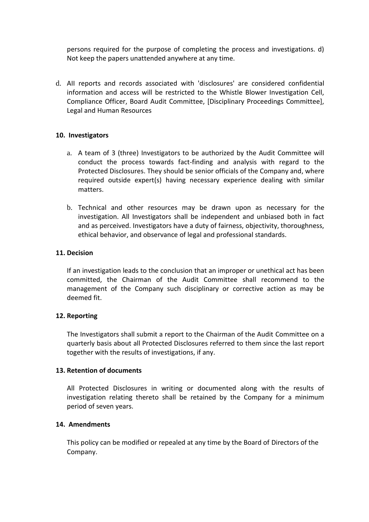persons required for the purpose of completing the process and investigations. d) Not keep the papers unattended anywhere at any time.

d. AII reports and records associated with 'disclosures' are considered confidential information and access will be restricted to the Whistle Blower Investigation Cell, Compliance Officer, Board Audit Committee, [Disciplinary Proceedings Committee], Legal and Human Resources

### **10. Investigators**

- a. A team of 3 (three) Investigators to be authorized by the Audit Committee will conduct the process towards fact-finding and analysis with regard to the Protected Disclosures. They should be senior officials of the Company and, where required outside expert(s) having necessary experience dealing with similar matters.
- b. Technical and other resources may be drawn upon as necessary for the investigation. All Investigators shall be independent and unbiased both in fact and as perceived. Investigators have a duty of fairness, objectivity, thoroughness, ethical behavior, and observance of legal and professional standards.

#### **11. Decision**

If an investigation leads to the conclusion that an improper or unethical act has been committed, the Chairman of the Audit Committee shall recommend to the management of the Company such disciplinary or corrective action as may be deemed fit.

#### **12. Reporting**

The Investigators shall submit a report to the Chairman of the Audit Committee on a quarterly basis about all Protected Disclosures referred to them since the last report together with the results of investigations, if any.

#### **13. Retention of documents**

All Protected Disclosures in writing or documented along with the results of investigation relating thereto shall be retained by the Company for a minimum period of seven years.

## **14. Amendments**

This policy can be modified or repealed at any time by the Board of Directors of the Company.